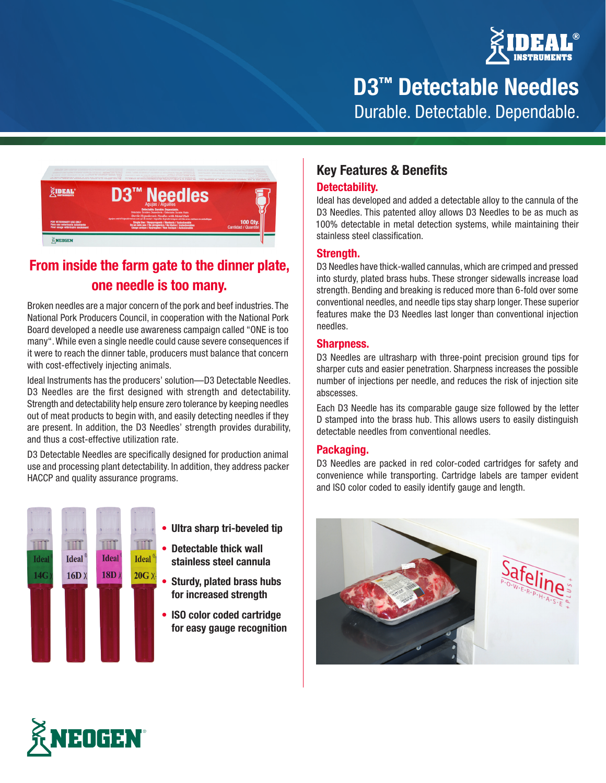

**D3™ Detectable Needles** Durable. Detectable. Dependable.



## **From inside the farm gate to the dinner plate, one needle is too many.**

Broken needles are a major concern of the pork and beef industries. The National Pork Producers Council, in cooperation with the National Pork Board developed a needle use awareness campaign called "ONE is too many". While even a single needle could cause severe consequences if it were to reach the dinner table, producers must balance that concern with cost-effectively injecting animals.

Ideal Instruments has the producers' solution—D3 Detectable Needles. D3 Needles are the first designed with strength and detectability. Strength and detectability help ensure zero tolerance by keeping needles out of meat products to begin with, and easily detecting needles if they are present. In addition, the D3 Needles' strength provides durability, and thus a cost-effective utilization rate.

D3 Detectable Needles are specifically designed for production animal use and processing plant detectability. In addition, they address packer HACCP and quality assurance programs.



- **• Ultra sharp tri-beveled tip**
- **• Detectable thick wall stainless steel cannula**
- **• Sturdy, plated brass hubs for increased strength**
- **• ISO color coded cartridge for easy gauge recognition**

### **Key Features & Benefits**

#### **Detectability.**

Ideal has developed and added a detectable alloy to the cannula of the D3 Needles. This patented alloy allows D3 Needles to be as much as 100% detectable in metal detection systems, while maintaining their stainless steel classification.

#### **Strength.**

D3 Needles have thick-walled cannulas, which are crimped and pressed into sturdy, plated brass hubs. These stronger sidewalls increase load strength. Bending and breaking is reduced more than 6-fold over some conventional needles, and needle tips stay sharp longer. These superior features make the D3 Needles last longer than conventional injection needles.

#### **Sharpness.**

D3 Needles are ultrasharp with three-point precision ground tips for sharper cuts and easier penetration. Sharpness increases the possible number of injections per needle, and reduces the risk of injection site abscesses.

Each D3 Needle has its comparable gauge size followed by the letter D stamped into the brass hub. This allows users to easily distinguish detectable needles from conventional needles.

#### **Packaging.**

D3 Needles are packed in red color-coded cartridges for safety and convenience while transporting. Cartridge labels are tamper evident and ISO color coded to easily identify gauge and length.